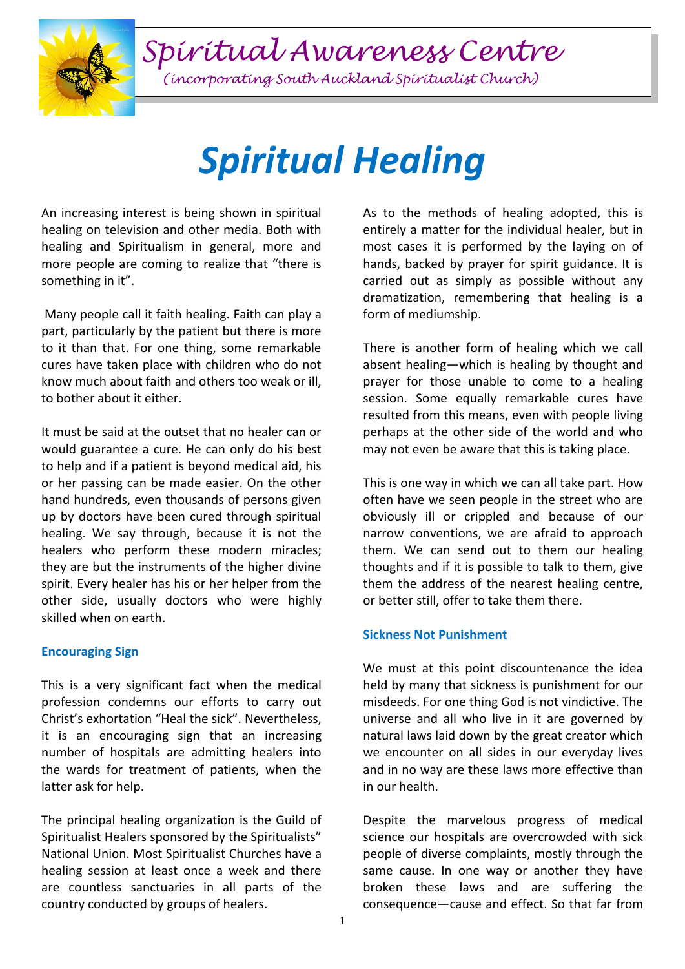*Spiritual Awareness Centre*



*(incorporating South Auckland Spiritualist Church)*

# *Spiritual Healing*

An increasing interest is being shown in spiritual healing on television and other media. Both with healing and Spiritualism in general, more and more people are coming to realize that "there is something in it".

Many people call it faith healing. Faith can play a part, particularly by the patient but there is more to it than that. For one thing, some remarkable cures have taken place with children who do not know much about faith and others too weak or ill, to bother about it either.

It must be said at the outset that no healer can or would guarantee a cure. He can only do his best to help and if a patient is beyond medical aid, his or her passing can be made easier. On the other hand hundreds, even thousands of persons given up by doctors have been cured through spiritual healing. We say through, because it is not the healers who perform these modern miracles; they are but the instruments of the higher divine spirit. Every healer has his or her helper from the other side, usually doctors who were highly skilled when on earth.

### **Encouraging Sign**

This is a very significant fact when the medical profession condemns our efforts to carry out Christ's exhortation "Heal the sick". Nevertheless, it is an encouraging sign that an increasing number of hospitals are admitting healers into the wards for treatment of patients, when the latter ask for help.

The principal healing organization is the Guild of Spiritualist Healers sponsored by the Spiritualists" National Union. Most Spiritualist Churches have a healing session at least once a week and there are countless sanctuaries in all parts of the country conducted by groups of healers.

As to the methods of healing adopted, this is entirely a matter for the individual healer, but in most cases it is performed by the laying on of hands, backed by prayer for spirit guidance. It is carried out as simply as possible without any dramatization, remembering that healing is a form of mediumship.

There is another form of healing which we call absent healing—which is healing by thought and prayer for those unable to come to a healing session. Some equally remarkable cures have resulted from this means, even with people living perhaps at the other side of the world and who may not even be aware that this is taking place.

This is one way in which we can all take part. How often have we seen people in the street who are obviously ill or crippled and because of our narrow conventions, we are afraid to approach them. We can send out to them our healing thoughts and if it is possible to talk to them, give them the address of the nearest healing centre, or better still, offer to take them there.

# **Sickness Not Punishment**

We must at this point discountenance the idea held by many that sickness is punishment for our misdeeds. For one thing God is not vindictive. The universe and all who live in it are governed by natural laws laid down by the great creator which we encounter on all sides in our everyday lives and in no way are these laws more effective than in our health.

Despite the marvelous progress of medical science our hospitals are overcrowded with sick people of diverse complaints, mostly through the same cause. In one way or another they have broken these laws and are suffering the consequence—cause and effect. So that far from